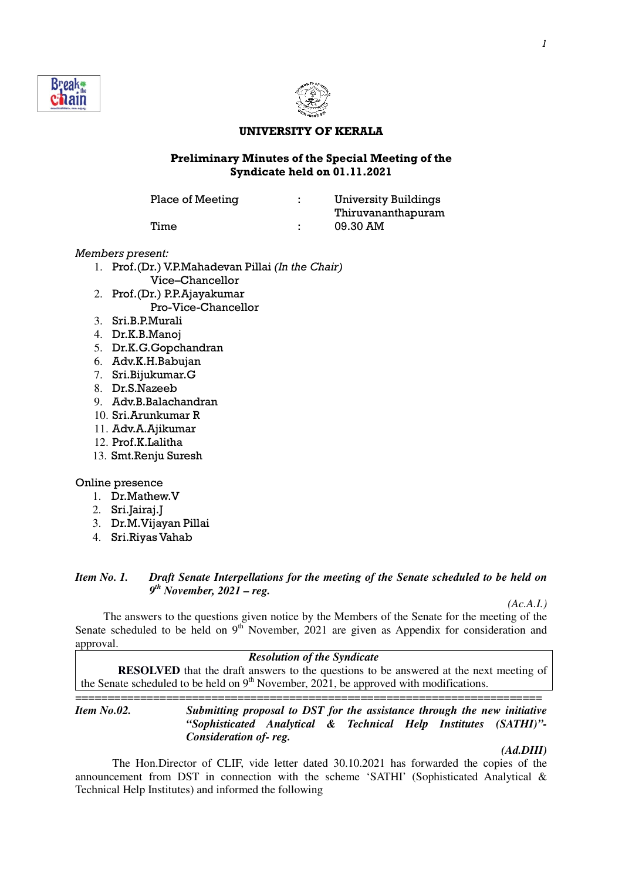



#### UNIVERSITY OF KERALA

### Preliminary Minutes of the Special Meeting of the Syndicate held on 01.11.2021

Place of Meeting : University Buildings

 Thiruvananthapuram Time : 09.30 AM

### Members present:

- 1. Prof.(Dr.) V.P.Mahadevan Pillai (In the Chair) Vice–Chancellor
- 2. Prof.(Dr.) P.P.Ajayakumar Pro-Vice-Chancellor
- 3. Sri.B.P.Murali
- 4. Dr.K.B.Manoj
- 5. Dr.K.G.Gopchandran
- 6. Adv.K.H.Babujan
- 7. Sri.Bijukumar.G
- 8. Dr.S.Nazeeb
- 9. Adv.B.Balachandran
- 10. Sri.Arunkumar R
- 11. Adv.A.Ajikumar
- 12. Prof.K.Lalitha
- 13. Smt.Renju Suresh

### Online presence

- 1. Dr.Mathew.V
- 2. Sri.Jairaj.J
- 3. Dr.M.Vijayan Pillai
- 4. Sri.Riyas Vahab

## *Item No. 1. Draft Senate Interpellations for the meeting of the Senate scheduled to be held on 9 th November, 2021 – reg.*

 *(Ac.A.I.)*

The answers to the questions given notice by the Members of the Senate for the meeting of the Senate scheduled to be held on  $9<sup>th</sup>$  November, 2021 are given as Appendix for consideration and approval.

#### *Resolution of the Syndicate*

**RESOLVED** that the draft answers to the questions to be answered at the next meeting of the Senate scheduled to be held on  $9<sup>th</sup>$  November, 2021, be approved with modifications.

======================================================================== *Item No.02. Submitting proposal to DST for the assistance through the new initiative "Sophisticated Analytical & Technical Help Institutes (SATHI)"- Consideration of- reg.* 

## *(Ad.DIII)*

The Hon.Director of CLIF, vide letter dated 30.10.2021 has forwarded the copies of the announcement from DST in connection with the scheme 'SATHI' (Sophisticated Analytical & Technical Help Institutes) and informed the following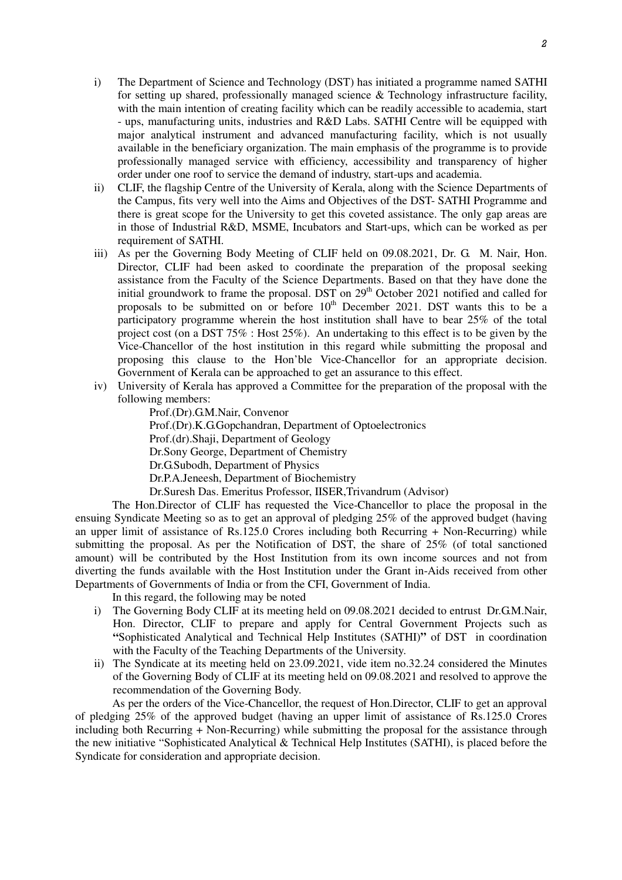- i) The Department of Science and Technology (DST) has initiated a programme named SATHI for setting up shared, professionally managed science & Technology infrastructure facility, with the main intention of creating facility which can be readily accessible to academia, start - ups, manufacturing units, industries and R&D Labs. SATHI Centre will be equipped with major analytical instrument and advanced manufacturing facility, which is not usually available in the beneficiary organization. The main emphasis of the programme is to provide professionally managed service with efficiency, accessibility and transparency of higher order under one roof to service the demand of industry, start-ups and academia.
- ii) CLIF, the flagship Centre of the University of Kerala, along with the Science Departments of the Campus, fits very well into the Aims and Objectives of the DST- SATHI Programme and there is great scope for the University to get this coveted assistance. The only gap areas are in those of Industrial R&D, MSME, Incubators and Start-ups, which can be worked as per requirement of SATHI.
- iii) As per the Governing Body Meeting of CLIF held on 09.08.2021, Dr. G. M. Nair, Hon. Director, CLIF had been asked to coordinate the preparation of the proposal seeking assistance from the Faculty of the Science Departments. Based on that they have done the initial groundwork to frame the proposal. DST on  $29<sup>th</sup>$  October 2021 notified and called for proposals to be submitted on or before  $10<sup>th</sup>$  December 2021. DST wants this to be a participatory programme wherein the host institution shall have to bear 25% of the total project cost (on a DST 75% : Host 25%). An undertaking to this effect is to be given by the Vice-Chancellor of the host institution in this regard while submitting the proposal and proposing this clause to the Hon'ble Vice-Chancellor for an appropriate decision. Government of Kerala can be approached to get an assurance to this effect.
- iv) University of Kerala has approved a Committee for the preparation of the proposal with the following members:

Prof.(Dr).G.M.Nair, Convenor Prof.(Dr).K.G.Gopchandran, Department of Optoelectronics Prof.(dr).Shaji, Department of Geology Dr.Sony George, Department of Chemistry Dr.G.Subodh, Department of Physics Dr.P.A.Jeneesh, Department of Biochemistry Dr.Suresh Das. Emeritus Professor, IISER,Trivandrum (Advisor)

 The Hon.Director of CLIF has requested the Vice-Chancellor to place the proposal in the ensuing Syndicate Meeting so as to get an approval of pledging 25% of the approved budget (having an upper limit of assistance of Rs.125.0 Crores including both Recurring + Non-Recurring) while submitting the proposal. As per the Notification of DST, the share of 25% (of total sanctioned amount) will be contributed by the Host Institution from its own income sources and not from diverting the funds available with the Host Institution under the Grant in-Aids received from other Departments of Governments of India or from the CFI, Government of India.

In this regard, the following may be noted

- i) The Governing Body CLIF at its meeting held on 09.08.2021 decided to entrust Dr.G.M.Nair, Hon. Director, CLIF to prepare and apply for Central Government Projects such as **"**Sophisticated Analytical and Technical Help Institutes (SATHI)**"** of DST in coordination with the Faculty of the Teaching Departments of the University.
- ii) The Syndicate at its meeting held on 23.09.2021, vide item no.32.24 considered the Minutes of the Governing Body of CLIF at its meeting held on 09.08.2021 and resolved to approve the recommendation of the Governing Body.

 As per the orders of the Vice-Chancellor, the request of Hon.Director, CLIF to get an approval of pledging 25% of the approved budget (having an upper limit of assistance of Rs.125.0 Crores including both Recurring + Non-Recurring) while submitting the proposal for the assistance through the new initiative "Sophisticated Analytical & Technical Help Institutes (SATHI), is placed before the Syndicate for consideration and appropriate decision.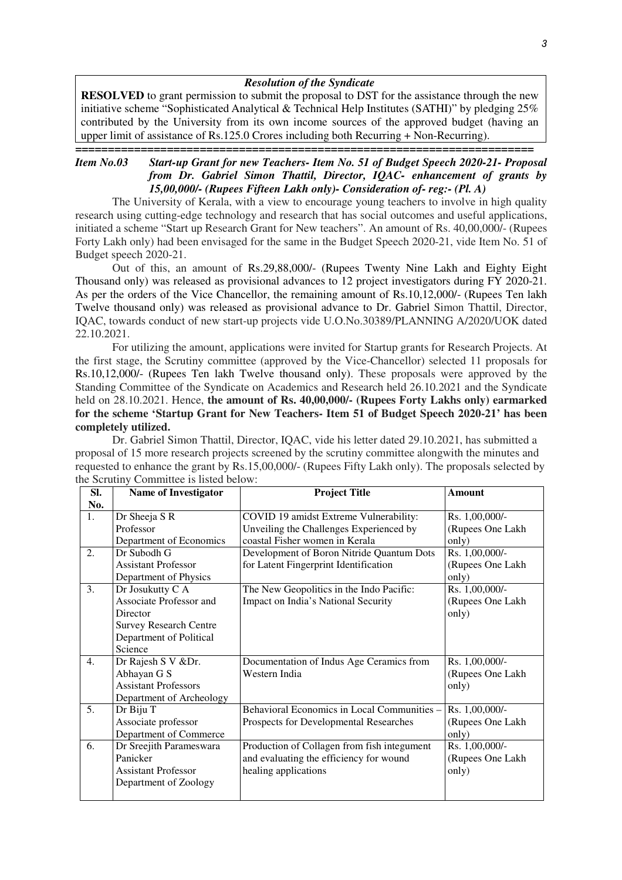#### *Resolution of the Syndicate*

**RESOLVED** to grant permission to submit the proposal to DST for the assistance through the new initiative scheme "Sophisticated Analytical & Technical Help Institutes (SATHI)" by pledging  $25\%$ contributed by the University from its own income sources of the approved budget (having an upper limit of assistance of Rs.125.0 Crores including both Recurring + Non-Recurring).

### **======================================================================**  *Item No.03 Start-up Grant for new Teachers- Item No. 51 of Budget Speech 2020-21- Proposal from Dr. Gabriel Simon Thattil, Director, IQAC- enhancement of grants by 15,00,000/- (Rupees Fifteen Lakh only)- Consideration of- reg:- (Pl. A)*

 The University of Kerala, with a view to encourage young teachers to involve in high quality research using cutting-edge technology and research that has social outcomes and useful applications, initiated a scheme "Start up Research Grant for New teachers". An amount of Rs. 40,00,000/- (Rupees Forty Lakh only) had been envisaged for the same in the Budget Speech 2020-21, vide Item No. 51 of Budget speech 2020-21.

 Out of this, an amount of Rs.29,88,000/- (Rupees Twenty Nine Lakh and Eighty Eight Thousand only) was released as provisional advances to 12 project investigators during FY 2020-21. As per the orders of the Vice Chancellor, the remaining amount of Rs.10,12,000/- (Rupees Ten lakh Twelve thousand only) was released as provisional advance to Dr. Gabriel Simon Thattil, Director, IQAC, towards conduct of new start-up projects vide U.O.No.30389/PLANNING A/2020/UOK dated 22.10.2021.

 For utilizing the amount, applications were invited for Startup grants for Research Projects. At the first stage, the Scrutiny committee (approved by the Vice-Chancellor) selected 11 proposals for Rs.10,12,000/- (Rupees Ten lakh Twelve thousand only). These proposals were approved by the Standing Committee of the Syndicate on Academics and Research held 26.10.2021 and the Syndicate held on 28.10.2021. Hence, **the amount of Rs. 40,00,000/- (Rupees Forty Lakhs only) earmarked for the scheme 'Startup Grant for New Teachers- Item 51 of Budget Speech 2020-21' has been completely utilized.** 

 Dr. Gabriel Simon Thattil, Director, IQAC, vide his letter dated 29.10.2021, has submitted a proposal of 15 more research projects screened by the scrutiny committee alongwith the minutes and requested to enhance the grant by Rs.15,00,000/- (Rupees Fifty Lakh only). The proposals selected by the Scrutiny Committee is listed below:

| SI. | <b>Name of Investigator</b>    | <b>Project Title</b>                        | Amount           |
|-----|--------------------------------|---------------------------------------------|------------------|
| No. |                                |                                             |                  |
| 1.  | Dr Sheeja S R                  | COVID 19 amidst Extreme Vulnerability:      | Rs. 1,00,000/-   |
|     | Professor                      | Unveiling the Challenges Experienced by     | (Rupees One Lakh |
|     | Department of Economics        | coastal Fisher women in Kerala              | only)            |
| 2.  | Dr Subodh G                    | Development of Boron Nitride Quantum Dots   | Rs. 1,00,000/-   |
|     | <b>Assistant Professor</b>     | for Latent Fingerprint Identification       | (Rupees One Lakh |
|     | Department of Physics          |                                             | only)            |
| 3.  | Dr Josukutty C A               | The New Geopolitics in the Indo Pacific:    | Rs. 1,00,000/-   |
|     | <b>Associate Professor and</b> | Impact on India's National Security         | (Rupees One Lakh |
|     | Director                       |                                             | only)            |
|     | <b>Survey Research Centre</b>  |                                             |                  |
|     | Department of Political        |                                             |                  |
|     | Science                        |                                             |                  |
| 4.  | Dr Rajesh S V &Dr.             | Documentation of Indus Age Ceramics from    | Rs. 1,00,000/-   |
|     | Abhayan G S                    | Western India                               | (Rupees One Lakh |
|     | <b>Assistant Professors</b>    |                                             | only)            |
|     | Department of Archeology       |                                             |                  |
| 5.  | Dr Biju T                      | Behavioral Economics in Local Communities - | Rs. 1,00,000/-   |
|     | Associate professor            | Prospects for Developmental Researches      | (Rupees One Lakh |
|     | Department of Commerce         |                                             | only)            |
| 6.  | Dr Sreejith Parameswara        | Production of Collagen from fish integument | Rs. 1,00,000/-   |
|     | Panicker                       | and evaluating the efficiency for wound     | (Rupees One Lakh |
|     | <b>Assistant Professor</b>     | healing applications                        | only)            |
|     | Department of Zoology          |                                             |                  |
|     |                                |                                             |                  |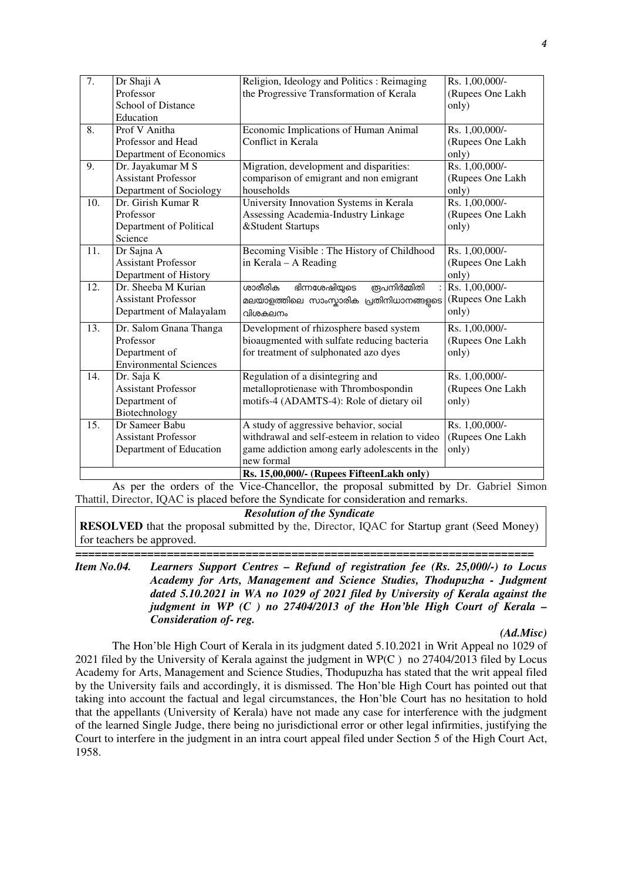| 7.  | Dr Shaji A                    | Religion, Ideology and Politics: Reimaging       | Rs. 1,00,000/-   |
|-----|-------------------------------|--------------------------------------------------|------------------|
|     | Professor                     | the Progressive Transformation of Kerala         | (Rupees One Lakh |
|     | School of Distance            |                                                  | only)            |
|     | Education                     |                                                  |                  |
| 8.  | Prof V Anitha                 | Economic Implications of Human Animal            | Rs. 1,00,000/-   |
|     | Professor and Head            | Conflict in Kerala                               | (Rupees One Lakh |
|     | Department of Economics       |                                                  | only)            |
| 9.  | Dr. Jayakumar M S             | Migration, development and disparities:          | Rs. 1,00,000/-   |
|     | <b>Assistant Professor</b>    | comparison of emigrant and non emigrant          | (Rupees One Lakh |
|     | Department of Sociology       | households                                       | only)            |
| 10. | Dr. Girish Kumar R            | University Innovation Systems in Kerala          | Rs. 1,00,000/-   |
|     | Professor                     | Assessing Academia-Industry Linkage              | (Rupees One Lakh |
|     | Department of Political       | &Student Startups                                | only)            |
|     | Science                       |                                                  |                  |
| 11. | Dr Sajna A                    | Becoming Visible : The History of Childhood      | Rs. 1,00,000/-   |
|     | <b>Assistant Professor</b>    | in Kerala - A Reading                            | (Rupees One Lakh |
|     | Department of History         |                                                  | only)            |
| 12. | Dr. Sheeba M Kurian           | ശാരീരിക<br>ഭിന്നശേഷിയ്യടെ<br><u> ആപനിർമ്മിതി</u> | Rs. 1,00,000/-   |
|     | <b>Assistant Professor</b>    | മലയാളത്തിലെ സാംസ്കാരിക പ്രതിനിധാനങ്ങളടെ          | (Rupees One Lakh |
|     | Department of Malayalam       | വിശകലനം                                          | only)            |
| 13. | Dr. Salom Gnana Thanga        | Development of rhizosphere based system          | Rs. 1,00,000/-   |
|     | Professor                     | bioaugmented with sulfate reducing bacteria      | (Rupees One Lakh |
|     | Department of                 | for treatment of sulphonated azo dyes            | only)            |
|     | <b>Environmental Sciences</b> |                                                  |                  |
| 14. | Dr. Saja K                    | Regulation of a disintegring and                 | Rs. 1,00,000/-   |
|     | <b>Assistant Professor</b>    | metalloprotienase with Thrombospondin            | (Rupees One Lakh |
|     | Department of                 | motifs-4 (ADAMTS-4): Role of dietary oil         | only)            |
|     | Biotechnology                 |                                                  |                  |
| 15. | Dr Sameer Babu                | A study of aggressive behavior, social           | Rs. 1,00,000/-   |
|     | <b>Assistant Professor</b>    | withdrawal and self-esteem in relation to video  | (Rupees One Lakh |
|     | Department of Education       | game addiction among early adolescents in the    | only)            |
|     |                               | new formal                                       |                  |
|     |                               | Rs. 15,00,000/- (Rupees FifteenLakh only)        |                  |

 As per the orders of the Vice-Chancellor, the proposal submitted by Dr. Gabriel Simon Thattil, Director, IQAC is placed before the Syndicate for consideration and remarks.

*Resolution of the Syndicate* 

**RESOLVED** that the proposal submitted by the, Director, IQAC for Startup grant (Seed Money) for teachers be approved.

**======================================================================**  *Item No.04. Learners Support Centres – Refund of registration fee (Rs. 25,000/-) to Locus Academy for Arts, Management and Science Studies, Thodupuzha - Judgment dated 5.10.2021 in WA no 1029 of 2021 filed by University of Kerala against the judgment in WP (C ) no 27404/2013 of the Hon'ble High Court of Kerala – Consideration of- reg.* 

### *(Ad.Misc)*

 The Hon'ble High Court of Kerala in its judgment dated 5.10.2021 in Writ Appeal no 1029 of 2021 filed by the University of Kerala against the judgment in WP(C ) no 27404/2013 filed by Locus Academy for Arts, Management and Science Studies, Thodupuzha has stated that the writ appeal filed by the University fails and accordingly, it is dismissed. The Hon'ble High Court has pointed out that taking into account the factual and legal circumstances, the Hon'ble Court has no hesitation to hold that the appellants (University of Kerala) have not made any case for interference with the judgment of the learned Single Judge, there being no jurisdictional error or other legal infirmities, justifying the Court to interfere in the judgment in an intra court appeal filed under Section 5 of the High Court Act, 1958.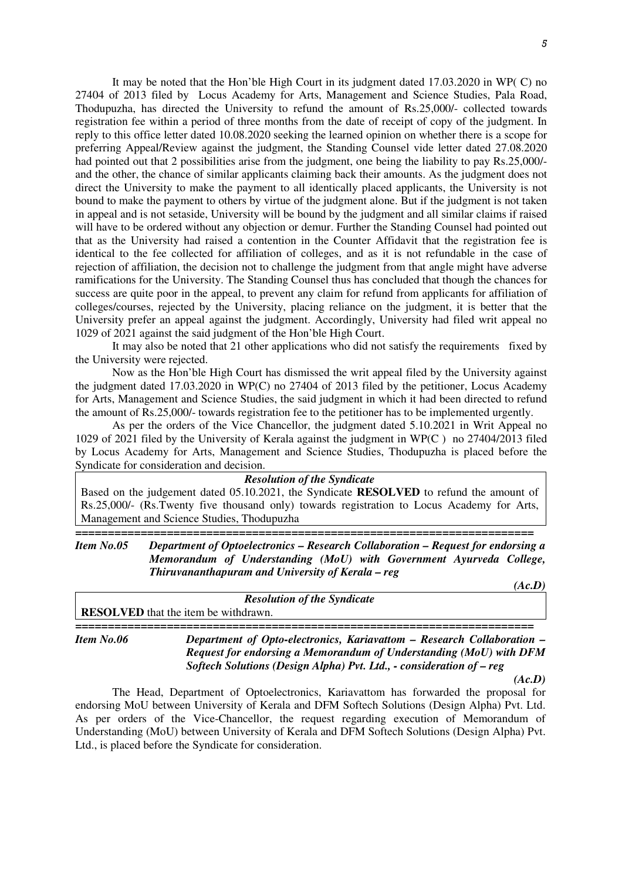It may be noted that the Hon'ble High Court in its judgment dated 17.03.2020 in WP( C) no 27404 of 2013 filed by Locus Academy for Arts, Management and Science Studies, Pala Road, Thodupuzha, has directed the University to refund the amount of Rs.25,000/- collected towards registration fee within a period of three months from the date of receipt of copy of the judgment. In reply to this office letter dated 10.08.2020 seeking the learned opinion on whether there is a scope for preferring Appeal/Review against the judgment, the Standing Counsel vide letter dated 27.08.2020 had pointed out that 2 possibilities arise from the judgment, one being the liability to pay Rs.25,000/ and the other, the chance of similar applicants claiming back their amounts. As the judgment does not direct the University to make the payment to all identically placed applicants, the University is not bound to make the payment to others by virtue of the judgment alone. But if the judgment is not taken in appeal and is not setaside, University will be bound by the judgment and all similar claims if raised will have to be ordered without any objection or demur. Further the Standing Counsel had pointed out that as the University had raised a contention in the Counter Affidavit that the registration fee is identical to the fee collected for affiliation of colleges, and as it is not refundable in the case of rejection of affiliation, the decision not to challenge the judgment from that angle might have adverse ramifications for the University. The Standing Counsel thus has concluded that though the chances for success are quite poor in the appeal, to prevent any claim for refund from applicants for affiliation of colleges/courses, rejected by the University, placing reliance on the judgment, it is better that the University prefer an appeal against the judgment. Accordingly, University had filed writ appeal no 1029 of 2021 against the said judgment of the Hon'ble High Court.

 It may also be noted that 21 other applications who did not satisfy the requirements fixed by the University were rejected.

 Now as the Hon'ble High Court has dismissed the writ appeal filed by the University against the judgment dated 17.03.2020 in WP(C) no 27404 of 2013 filed by the petitioner, Locus Academy for Arts, Management and Science Studies, the said judgment in which it had been directed to refund the amount of Rs.25,000/- towards registration fee to the petitioner has to be implemented urgently.

 As per the orders of the Vice Chancellor, the judgment dated 5.10.2021 in Writ Appeal no 1029 of 2021 filed by the University of Kerala against the judgment in WP(C ) no 27404/2013 filed by Locus Academy for Arts, Management and Science Studies, Thodupuzha is placed before the Syndicate for consideration and decision.

#### *Resolution of the Syndicate*

Based on the judgement dated 05.10.2021, the Syndicate **RESOLVED** to refund the amount of Rs.25,000/- (Rs.Twenty five thousand only) towards registration to Locus Academy for Arts, Management and Science Studies, Thodupuzha

**======================================================================**  *Item No.05 Department of Optoelectronics – Research Collaboration – Request for endorsing a Memorandum of Understanding (MoU) with Government Ayurveda College, Thiruvananthapuram and University of Kerala – reg*

| <b>Resolution of the Syndicate</b>          |  |  |  |  |  |
|---------------------------------------------|--|--|--|--|--|
| <b>RESOLVED</b> that the item be withdrawn. |  |  |  |  |  |
|                                             |  |  |  |  |  |

*Item No.06 Department of Opto-electronics, Kariavattom – Research Collaboration – Request for endorsing a Memorandum of Understanding (MoU) with DFM Softech Solutions (Design Alpha) Pvt. Ltd., - consideration of – reg* 

*(Ac.D)* 

The Head, Department of Optoelectronics, Kariavattom has forwarded the proposal for endorsing MoU between University of Kerala and DFM Softech Solutions (Design Alpha) Pvt. Ltd. As per orders of the Vice-Chancellor, the request regarding execution of Memorandum of Understanding (MoU) between University of Kerala and DFM Softech Solutions (Design Alpha) Pvt. Ltd., is placed before the Syndicate for consideration.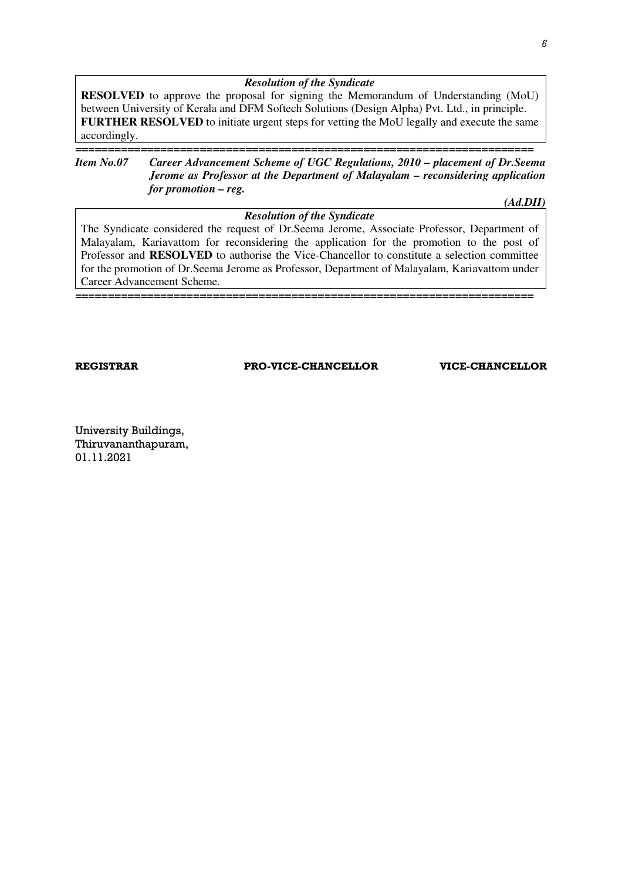#### *Resolution of the Syndicate*

**RESOLVED** to approve the proposal for signing the Memorandum of Understanding (MoU) between University of Kerala and DFM Softech Solutions (Design Alpha) Pvt. Ltd., in principle. **FURTHER RESOLVED** to initiate urgent steps for vetting the MoU legally and execute the same accordingly.

### **======================================================================**  *Item No.07 Career Advancement Scheme of UGC Regulations, 2010 – placement of Dr.Seema Jerome as Professor at the Department of Malayalam – reconsidering application for promotion – reg.*

*(Ad.DII)* 

## *Resolution of the Syndicate*  The Syndicate considered the request of Dr.Seema Jerome, Associate Professor, Department of Malayalam, Kariavattom for reconsidering the application for the promotion to the post of Professor and **RESOLVED** to authorise the Vice-Chancellor to constitute a selection committee for the promotion of Dr.Seema Jerome as Professor, Department of Malayalam, Kariavattom under Career Advancement Scheme.

**======================================================================** 

REGISTRAR PRO-VICE-CHANCELLOR VICE-CHANCELLOR

University Buildings, Thiruvananthapuram, 01.11.2021